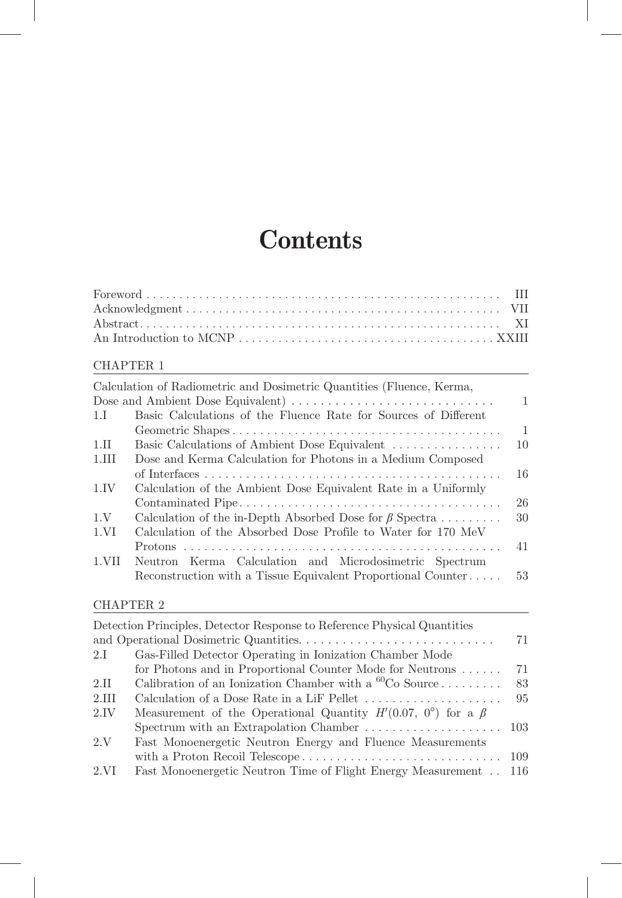## **Contents**

## CHAPTER 1

|          | Calculation of Radiometric and Dosimetric Quantities (Fluence, Kerma, |                |
|----------|-----------------------------------------------------------------------|----------------|
|          |                                                                       | $\mathbf{1}$   |
| 1.I      | Basic Calculations of the Fluence Rate for Sources of Different       |                |
|          |                                                                       | $\overline{1}$ |
| $1.$ II  | Basic Calculations of Ambient Dose Equivalent                         | 10             |
| $1.$ III | Dose and Kerma Calculation for Photons in a Medium Composed           |                |
|          |                                                                       | 16             |
| 1.IV     | Calculation of the Ambient Dose Equivalent Rate in a Uniformly        |                |
|          |                                                                       | 26             |
| 1.V      | Calculation of the in-Depth Absorbed Dose for $\beta$ Spectra         | 30             |
| 1.VI     | Calculation of the Absorbed Dose Profile to Water for 170 MeV         |                |
|          |                                                                       | 41             |
| 1.VII    | Neutron Kerma Calculation and Microdosimetric Spectrum                |                |
|          | Reconstruction with a Tissue Equivalent Proportional Counter          | 53             |
|          |                                                                       |                |

## CHAPTER 2

|         | Detection Principles, Detector Response to Reference Physical Quantities    |    |
|---------|-----------------------------------------------------------------------------|----|
|         |                                                                             | 71 |
| 2.I     | Gas-Filled Detector Operating in Ionization Chamber Mode                    |    |
|         | for Photons and in Proportional Counter Mode for Neutrons                   | 71 |
| $2.\Pi$ | Calibration of an Ionization Chamber with a ${}^{60}Co$ Source              | 83 |
| 2.III   |                                                                             | 95 |
| 2.IV    | Measurement of the Operational Quantity $H'(0.07, 0^{\circ})$ for a $\beta$ |    |
|         |                                                                             |    |
| 2.V     | Fast Monoenergetic Neutron Energy and Fluence Measurements                  |    |
|         |                                                                             |    |
| 2.VI    | Fast Monoenergetic Neutron Time of Flight Energy Measurement . 116          |    |